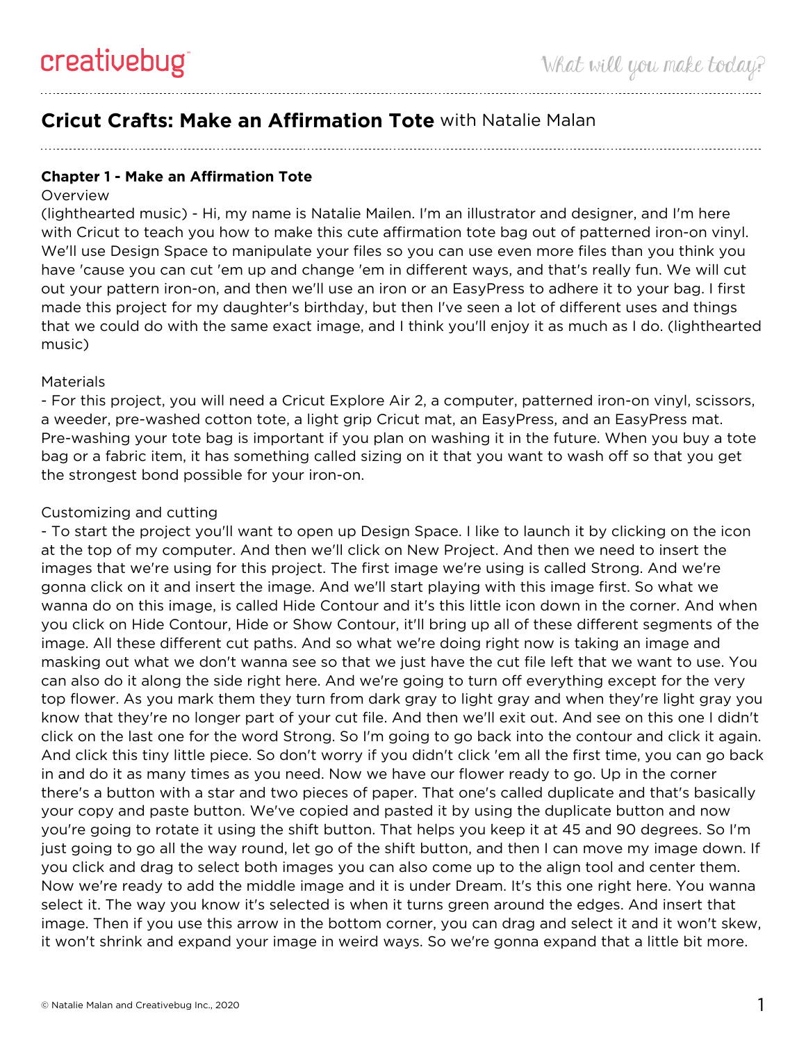# **Cricut Crafts: Make an Affirmation Tote** with Natalie Malan

## **Chapter 1 - Make an Affirmation Tote**

### **Overview**

(lighthearted music) - Hi, my name is Natalie Mailen. I'm an illustrator and designer, and I'm here with Cricut to teach you how to make this cute affirmation tote bag out of patterned iron-on vinyl. We'll use Design Space to manipulate your files so you can use even more files than you think you have 'cause you can cut 'em up and change 'em in different ways, and that's really fun. We will cut out your pattern iron-on, and then we'll use an iron or an EasyPress to adhere it to your bag. I first made this project for my daughter's birthday, but then I've seen a lot of different uses and things that we could do with the same exact image, and I think you'll enjoy it as much as I do. (lighthearted music)

### **Materials**

- For this project, you will need a Cricut Explore Air 2, a computer, patterned iron-on vinyl, scissors, a weeder, pre-washed cotton tote, a light grip Cricut mat, an EasyPress, and an EasyPress mat. Pre-washing your tote bag is important if you plan on washing it in the future. When you buy a tote bag or a fabric item, it has something called sizing on it that you want to wash off so that you get the strongest bond possible for your iron-on.

### Customizing and cutting

- To start the project you'll want to open up Design Space. I like to launch it by clicking on the icon at the top of my computer. And then we'll click on New Project. And then we need to insert the images that we're using for this project. The first image we're using is called Strong. And we're gonna click on it and insert the image. And we'll start playing with this image first. So what we wanna do on this image, is called Hide Contour and it's this little icon down in the corner. And when you click on Hide Contour, Hide or Show Contour, it'll bring up all of these different segments of the image. All these different cut paths. And so what we're doing right now is taking an image and masking out what we don't wanna see so that we just have the cut file left that we want to use. You can also do it along the side right here. And we're going to turn off everything except for the very top flower. As you mark them they turn from dark gray to light gray and when they're light gray you know that they're no longer part of your cut file. And then we'll exit out. And see on this one I didn't click on the last one for the word Strong. So I'm going to go back into the contour and click it again. And click this tiny little piece. So don't worry if you didn't click 'em all the first time, you can go back in and do it as many times as you need. Now we have our flower ready to go. Up in the corner there's a button with a star and two pieces of paper. That one's called duplicate and that's basically your copy and paste button. We've copied and pasted it by using the duplicate button and now you're going to rotate it using the shift button. That helps you keep it at 45 and 90 degrees. So I'm just going to go all the way round, let go of the shift button, and then I can move my image down. If you click and drag to select both images you can also come up to the align tool and center them. Now we're ready to add the middle image and it is under Dream. It's this one right here. You wanna select it. The way you know it's selected is when it turns green around the edges. And insert that image. Then if you use this arrow in the bottom corner, you can drag and select it and it won't skew, it won't shrink and expand your image in weird ways. So we're gonna expand that a little bit more.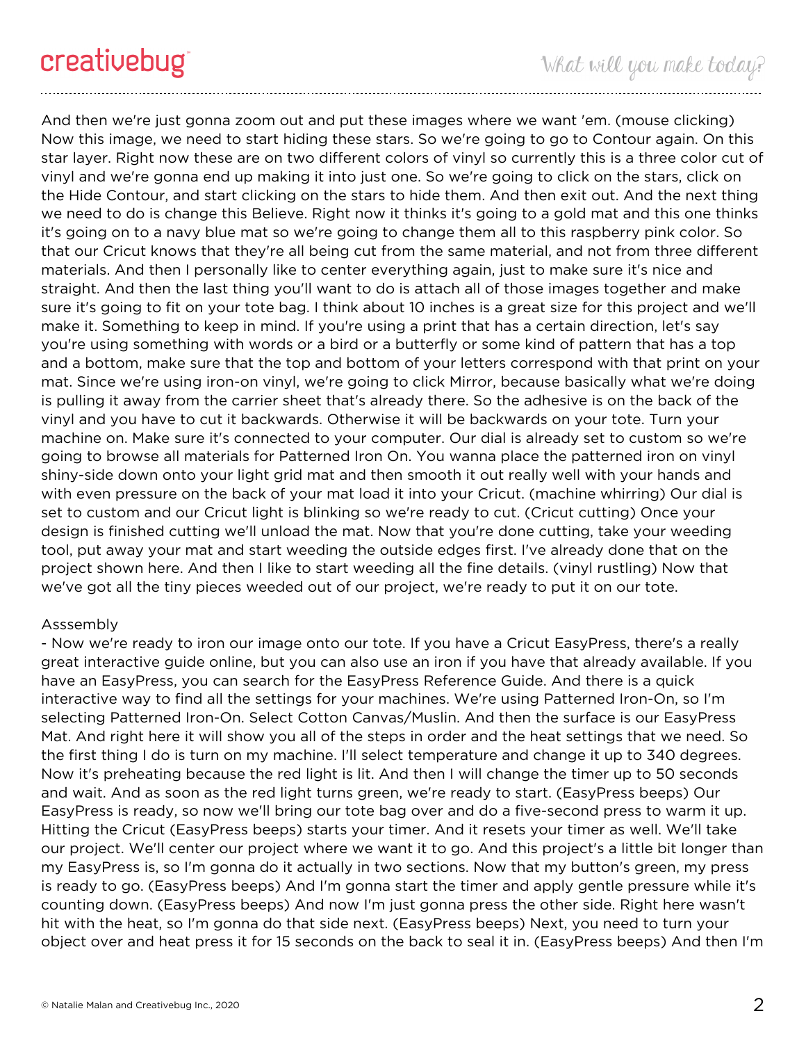And then we're just gonna zoom out and put these images where we want 'em. (mouse clicking) Now this image, we need to start hiding these stars. So we're going to go to Contour again. On this star layer. Right now these are on two different colors of vinyl so currently this is a three color cut of vinyl and we're gonna end up making it into just one. So we're going to click on the stars, click on the Hide Contour, and start clicking on the stars to hide them. And then exit out. And the next thing we need to do is change this Believe. Right now it thinks it's going to a gold mat and this one thinks it's going on to a navy blue mat so we're going to change them all to this raspberry pink color. So that our Cricut knows that they're all being cut from the same material, and not from three different materials. And then I personally like to center everything again, just to make sure it's nice and straight. And then the last thing you'll want to do is attach all of those images together and make sure it's going to fit on your tote bag. I think about 10 inches is a great size for this project and we'll make it. Something to keep in mind. If you're using a print that has a certain direction, let's say you're using something with words or a bird or a butterfly or some kind of pattern that has a top and a bottom, make sure that the top and bottom of your letters correspond with that print on your mat. Since we're using iron-on vinyl, we're going to click Mirror, because basically what we're doing is pulling it away from the carrier sheet that's already there. So the adhesive is on the back of the vinyl and you have to cut it backwards. Otherwise it will be backwards on your tote. Turn your machine on. Make sure it's connected to your computer. Our dial is already set to custom so we're going to browse all materials for Patterned Iron On. You wanna place the patterned iron on vinyl shiny-side down onto your light grid mat and then smooth it out really well with your hands and with even pressure on the back of your mat load it into your Cricut. (machine whirring) Our dial is set to custom and our Cricut light is blinking so we're ready to cut. (Cricut cutting) Once your design is finished cutting we'll unload the mat. Now that you're done cutting, take your weeding tool, put away your mat and start weeding the outside edges first. I've already done that on the project shown here. And then I like to start weeding all the fine details. (vinyl rustling) Now that we've got all the tiny pieces weeded out of our project, we're ready to put it on our tote.

### Asssembly

- Now we're ready to iron our image onto our tote. If you have a Cricut EasyPress, there's a really great interactive guide online, but you can also use an iron if you have that already available. If you have an EasyPress, you can search for the EasyPress Reference Guide. And there is a quick interactive way to find all the settings for your machines. We're using Patterned Iron-On, so I'm selecting Patterned Iron-On. Select Cotton Canvas/Muslin. And then the surface is our EasyPress Mat. And right here it will show you all of the steps in order and the heat settings that we need. So the first thing I do is turn on my machine. I'll select temperature and change it up to 340 degrees. Now it's preheating because the red light is lit. And then I will change the timer up to 50 seconds and wait. And as soon as the red light turns green, we're ready to start. (EasyPress beeps) Our EasyPress is ready, so now we'll bring our tote bag over and do a five-second press to warm it up. Hitting the Cricut (EasyPress beeps) starts your timer. And it resets your timer as well. We'll take our project. We'll center our project where we want it to go. And this project's a little bit longer than my EasyPress is, so I'm gonna do it actually in two sections. Now that my button's green, my press is ready to go. (EasyPress beeps) And I'm gonna start the timer and apply gentle pressure while it's counting down. (EasyPress beeps) And now I'm just gonna press the other side. Right here wasn't hit with the heat, so I'm gonna do that side next. (EasyPress beeps) Next, you need to turn your object over and heat press it for 15 seconds on the back to seal it in. (EasyPress beeps) And then I'm